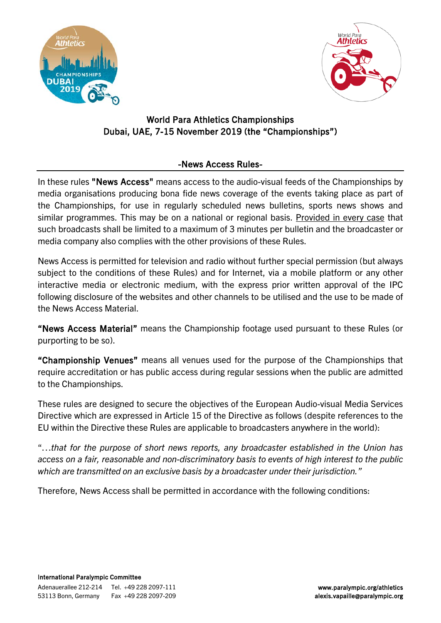



## World Para Athletics Championships Dubai, UAE, 7-15 November 2019 (the "Championships")

## -News Access Rules-

In these rules "News Access" means access to the audio-visual feeds of the Championships by media organisations producing bona fide news coverage of the events taking place as part of the Championships, for use in regularly scheduled news bulletins, sports news shows and similar programmes. This may be on a national or regional basis. Provided in every case that such broadcasts shall be limited to a maximum of 3 minutes per bulletin and the broadcaster or media company also complies with the other provisions of these Rules.

News Access is permitted for television and radio without further special permission (but always subject to the conditions of these Rules) and for Internet, via a mobile platform or any other interactive media or electronic medium, with the express prior written approval of the IPC following disclosure of the websites and other channels to be utilised and the use to be made of the News Access Material.

"News Access Material" means the Championship footage used pursuant to these Rules (or purporting to be so).

"Championship Venues" means all venues used for the purpose of the Championships that require accreditation or has public access during regular sessions when the public are admitted to the Championships.

These rules are designed to secure the objectives of the European Audio-visual Media Services Directive which are expressed in Article 15 of the Directive as follows (despite references to the EU within the Directive these Rules are applicable to broadcasters anywhere in the world):

"…*that for the purpose of short news reports, any broadcaster established in the Union has access on a fair, reasonable and non-discriminatory basis to events of high interest to the public which are transmitted on an exclusive basis by a broadcaster under their jurisdiction."*

Therefore, News Access shall be permitted in accordance with the following conditions: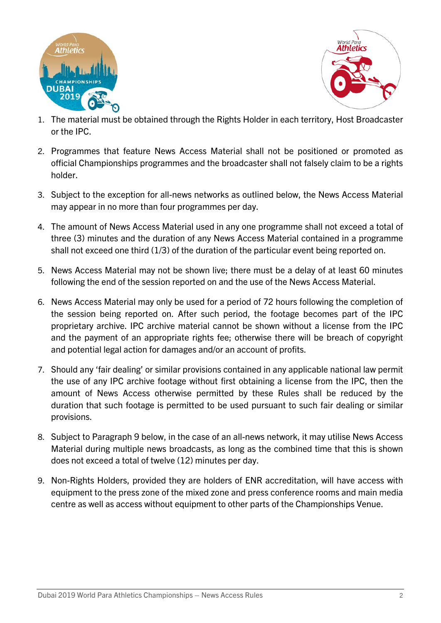



- 1. The material must be obtained through the Rights Holder in each territory, Host Broadcaster or the IPC.
- 2. Programmes that feature News Access Material shall not be positioned or promoted as official Championships programmes and the broadcaster shall not falsely claim to be a rights holder.
- 3. Subject to the exception for all-news networks as outlined below, the News Access Material may appear in no more than four programmes per day.
- 4. The amount of News Access Material used in any one programme shall not exceed a total of three (3) minutes and the duration of any News Access Material contained in a programme shall not exceed one third (1/3) of the duration of the particular event being reported on.
- 5. News Access Material may not be shown live; there must be a delay of at least 60 minutes following the end of the session reported on and the use of the News Access Material.
- 6. News Access Material may only be used for a period of 72 hours following the completion of the session being reported on. After such period, the footage becomes part of the IPC proprietary archive. IPC archive material cannot be shown without a license from the IPC and the payment of an appropriate rights fee; otherwise there will be breach of copyright and potential legal action for damages and/or an account of profits.
- 7. Should any 'fair dealing' or similar provisions contained in any applicable national law permit the use of any IPC archive footage without first obtaining a license from the IPC, then the amount of News Access otherwise permitted by these Rules shall be reduced by the duration that such footage is permitted to be used pursuant to such fair dealing or similar provisions.
- 8. Subject to Paragraph 9 below, in the case of an all-news network, it may utilise News Access Material during multiple news broadcasts, as long as the combined time that this is shown does not exceed a total of twelve (12) minutes per day.
- 9. Non-Rights Holders, provided they are holders of ENR accreditation, will have access with equipment to the press zone of the mixed zone and press conference rooms and main media centre as well as access without equipment to other parts of the Championships Venue.